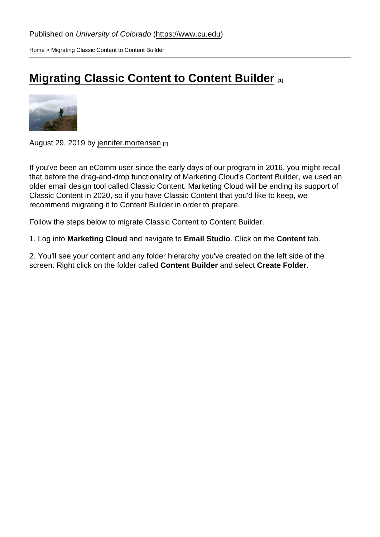[Home](https://www.cu.edu/) > Migrating Classic Content to Content Builder

## [Migrating Classic Content to Content Builder](https://www.cu.edu/blog/ecomm-wiki/migrating-classic-content-content-builder) **[1]**

August 29, 2019 by [jennifer.mortensen](https://www.cu.edu/blog/ecomm-wiki/author/13789) [2]

If you've been an eComm user since the early days of our program in 2016, you might recall that before the drag-and-drop functionality of Marketing Cloud's Content Builder, we used an older email design tool called Classic Content. Marketing Cloud will be ending its support of Classic Content in 2020, so if you have Classic Content that you'd like to keep, we recommend migrating it to Content Builder in order to prepare.

Follow the steps below to migrate Classic Content to Content Builder.

1. Log into Marketing Cloud and navigate to Email Studio . Click on the Content tab.

2. You'll see your content and any folder hierarchy you've created on the left side of the screen. Right click on the folder called Content Builder and select Create Folder .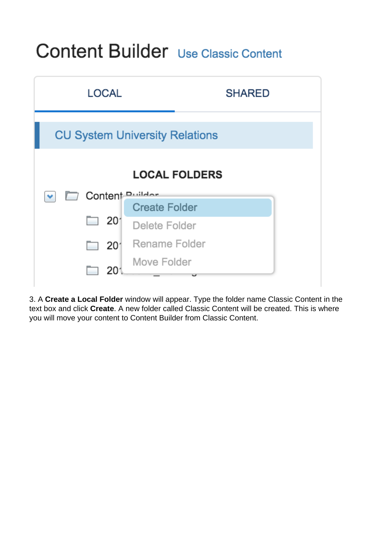## Content Builder Use Classic Content



3. A **Create a Local Folder** window will appear. Type the folder name Classic Content in the text box and click **Create**. A new folder called Classic Content will be created. This is where you will move your content to Content Builder from Classic Content.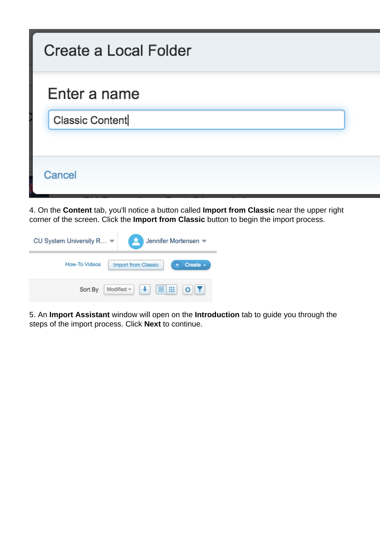| Create a Local Folder |
|-----------------------|
| Enter a name          |
| Classic Content       |
| Cancel                |

4. On the **Content** tab, you'll notice a button called **Import from Classic** near the upper right corner of the screen. Click the **Import from Classic** button to begin the import process.

| CU System University R ▼                                     | Jennifer Mortensen ₩ |  |
|--------------------------------------------------------------|----------------------|--|
| How-To Videos<br>Create $\sim$<br><b>Import from Classic</b> |                      |  |
| ₩<br>≣<br>Modified +<br>Sort By                              |                      |  |

5. An **Import Assistant** window will open on the **Introduction** tab to guide you through the steps of the import process. Click **Next** to continue.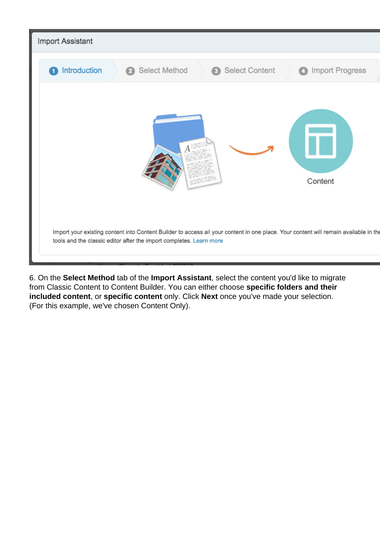

6. On the **Select Method** tab of the **Import Assistant**, select the content you'd like to migrate from Classic Content to Content Builder. You can either choose **specific folders and their included content**, or **specific content** only. Click **Next** once you've made your selection. (For this example, we've chosen Content Only).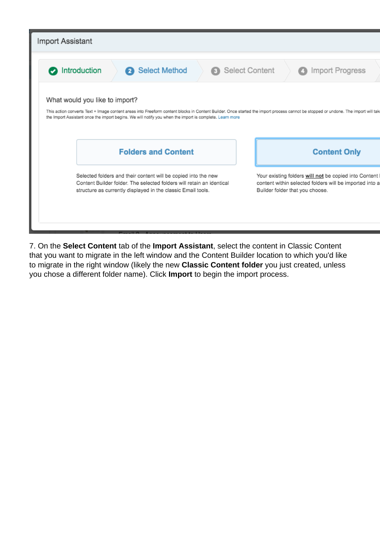

7. On the **Select Content** tab of the **Import Assistant**, select the content in Classic Content that you want to migrate in the left window and the Content Builder location to which you'd like to migrate in the right window (likely the new **Classic Content folder** you just created, unless you chose a different folder name). Click **Import** to begin the import process.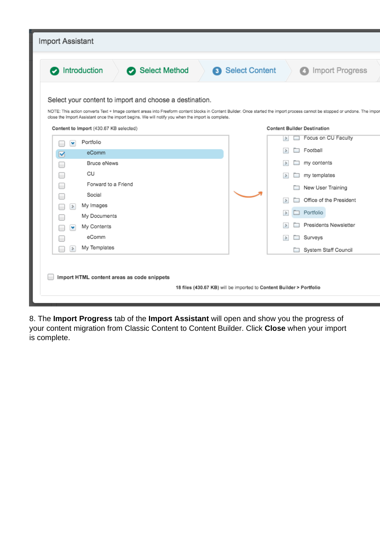| Import Assistant                                                                                                                                                                                                                                                                                                                                                                                                               |                                              |  |  |
|--------------------------------------------------------------------------------------------------------------------------------------------------------------------------------------------------------------------------------------------------------------------------------------------------------------------------------------------------------------------------------------------------------------------------------|----------------------------------------------|--|--|
|                                                                                                                                                                                                                                                                                                                                                                                                                                |                                              |  |  |
| ntroduction<br>Select Method                                                                                                                                                                                                                                                                                                                                                                                                   | 3 Select Content<br><b>6</b> Import Progress |  |  |
| Select your content to import and choose a destination.<br>NOTE: This action converts Text + Image content areas into Freeform content blocks in Content Builder. Once started the import process cannot be stopped or undone. The impor<br>close the Import Assistant once the import begins. We will notify you when the import is complete.<br>Content to Import (430.67 KB selected)<br><b>Content Builder Destination</b> |                                              |  |  |
|                                                                                                                                                                                                                                                                                                                                                                                                                                |                                              |  |  |
| Portfolio<br>٧                                                                                                                                                                                                                                                                                                                                                                                                                 | Focus on CU Faculty<br>$\rightarrow$         |  |  |
| eComm<br>☑                                                                                                                                                                                                                                                                                                                                                                                                                     | Football<br>$\rightarrow$                    |  |  |
| <b>Bruce eNews</b><br>m.                                                                                                                                                                                                                                                                                                                                                                                                       | my contents<br>$\rightarrow$                 |  |  |
| СU<br>                                                                                                                                                                                                                                                                                                                                                                                                                         | my templates                                 |  |  |
| Forward to a Friend                                                                                                                                                                                                                                                                                                                                                                                                            | New User Training                            |  |  |
| Social                                                                                                                                                                                                                                                                                                                                                                                                                         |                                              |  |  |
| My Images<br>$\Rightarrow$                                                                                                                                                                                                                                                                                                                                                                                                     | Office of the President<br>$\,>$             |  |  |
| My Documents                                                                                                                                                                                                                                                                                                                                                                                                                   | Portfolio<br>>                               |  |  |
| My Contents<br>×                                                                                                                                                                                                                                                                                                                                                                                                               | Presidents Newsletter<br>$\rightarrow$       |  |  |
| eComm                                                                                                                                                                                                                                                                                                                                                                                                                          | Surveys<br>$\geq$                            |  |  |
| My Templates<br>$\Rightarrow$                                                                                                                                                                                                                                                                                                                                                                                                  | System Staff Council                         |  |  |
| Import HTML content areas as code snippets<br>18 files (430.67 KB) will be imported to Content Builder > Portfolio                                                                                                                                                                                                                                                                                                             |                                              |  |  |

8. The **Import Progress** tab of the **Import Assistant** will open and show you the progress of your content migration from Classic Content to Content Builder. Click **Close** when your import is complete.